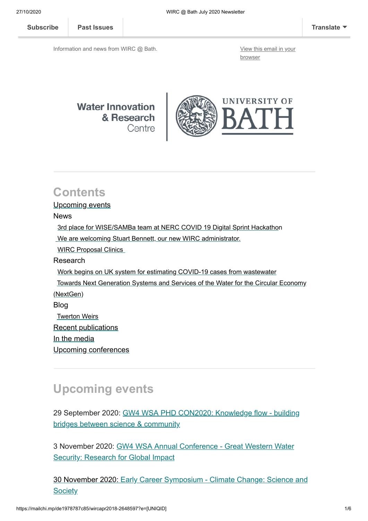Information and news from WIRC @ Bath. [View this email in your](https://mailchi.mp/de1978787c85/wircapr2018-2648597?e=[UNIQID])

browser



### **Contents**

#### Upcoming events

#### News

[3rd place for WISE/SAMBa team at NERC COVID 19 Digital Sprint Hackathon](#page-1-0) [We are welcoming Stuart Bennett, our new WIRC administrator.](#page-1-1) [WIRC Proposal Clinics](#page-1-2) Research [Work begins on UK system for estimating COVID-19 cases from wastewater](#page-2-0)  [Towards Next Generation Systems and Services of the Water for the Circular Economy](#page-3-0) (NextGen) Blog [Twerton Weirs](#page-3-1) Recent publications [In the media](#page-4-0) [Upcoming conferences](#page-4-1)

## **Upcoming events**

[29 September 2020: GW4 WSA PHD CON2020: Knowledge flow - building](https://www.gw4water.com/events/gw4-wsa-phd-con2020/) bridges between science & community

[3 November 2020: GW4 WSA Annual Conference - Great Western Water](https://gw4.ac.uk/event/early-career-symposium-climate-change-science-and-society/) Security: Research for Global Impact

[30 November 2020: Early Career Symposium - Climate Change: Science and](https://www.eventbrite.co.uk/e/gw4-water-security-alliance-2020-annual-conference-tickets-85976214171) **Society**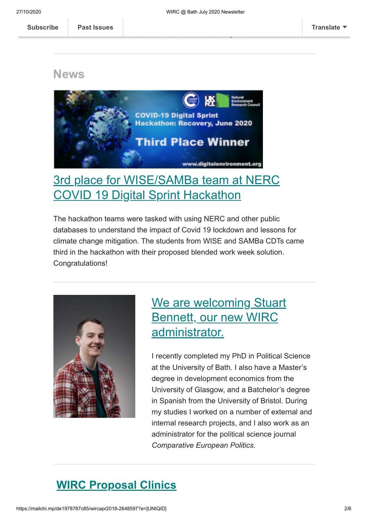Please note that all these events are free and open to all.

**News**



## <span id="page-1-0"></span>[3rd place for WISE/SAMBa team at NERC](https://blogs.bath.ac.uk/water/2020/07/03/3rd-place-for-wise-samba-team-at-nerc-covid-19-digital-sprint-hackathon/) COVID 19 Digital Sprint Hackathon

The hackathon teams were tasked with using NERC and other public databases to understand the impact of Covid 19 lockdown and lessons for climate change mitigation. The students from WISE and SAMBa CDTs came third in the hackathon with their proposed blended work week solution. Congratulations!



# <span id="page-1-1"></span>[We are welcoming Stuart](https://researchportal.bath.ac.uk/en/persons/stuart-bennett) Bennett, our new WIRC administrator.

I recently completed my PhD in Political Science at the University of Bath. I also have a Master's degree in development economics from the University of Glasgow, and a Batchelor's degree in Spanish from the University of Bristol. During my studies I worked on a number of external and internal research projects, and I also work as an administrator for the political science journal *Comparative European Politics*.

## <span id="page-1-2"></span>**WIRC Proposal Clinics**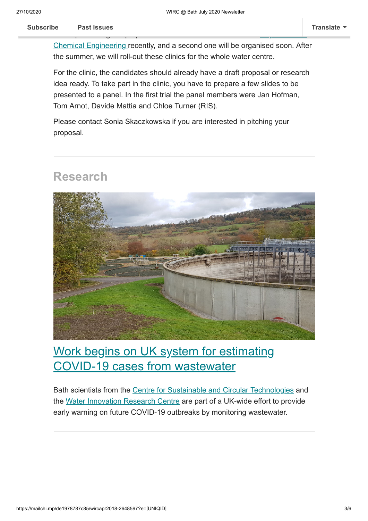Chemical Engineering recently, and a second one will be organised soon. After the summer, we will roll-out these clinics for the whole water centre.

development of grant proposal. A first trial was done with the Department of the Department of Department of D

For the clinic, the candidates should already have a draft proposal or research idea ready. To take part in the clinic, you have to prepare a few slides to be presented to a panel. In the first trial the panel members were Jan Hofman, Tom Arnot, Davide Mattia and Chloe Turner (RIS).

Please contact Sonia Skaczkowska if you are interested in pitching your proposal.

#### **Research**



## <span id="page-2-0"></span>[Work begins on UK system for estimating](https://www.bath.ac.uk/announcements/work-begins-on-uk-system-for-estimating-covid-19-cases-from-wastewater/) COVID-19 cases from wastewater

Bath scientists from the [Centre for Sustainable and Circular Technologies](https://www.csct.ac.uk/) and the [Water Innovation Research Centre](https://www.bath.ac.uk/research-centres/water-innovation-and-research-centre-wirc-bath/) are part of a UK-wide effort to provide early warning on future COVID-19 outbreaks by monitoring wastewater.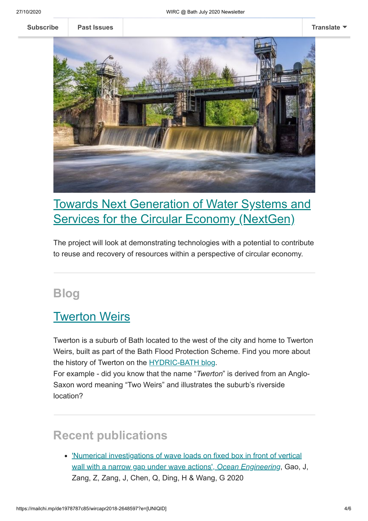**[Subscribe](http://eepurl.com/bKjQGL) [Past Issues](https://us12.campaign-archive.com/home/?u=d7614ea34eb388bb6f0caa07a&id=d688d5b543) [Translate](javascript:;)**



# <span id="page-3-0"></span>[Towards Next Generation of Water Systems and](https://www.bath.ac.uk/case-studies/towards-a-next-generation-of-water-systems-and-services-for-the-circular-economy-nextgen/) Services for the Circular Economy (NextGen)

The project will look at demonstrating technologies with a potential to contribute to reuse and recovery of resources within a perspective of circular economy.

### **Blog**

#### <span id="page-3-1"></span>**[Twerton Weirs](https://hydricbath.weebly.com/blog/twerton-weirs)**

Twerton is a suburb of Bath located to the west of the city and home to Twerton Weirs, built as part of the Bath Flood Protection Scheme. Find you more about the history of Twerton on the [HYDRIC-BATH blog.](https://hydricbath.weebly.com/blog)

For example - did you know that the name "*Twerton*" is derived from an Anglo-Saxon word meaning "Two Weirs" and illustrates the suburb's riverside location?

# **Recent publications**

['Numerical investigations of wave loads on fixed box in front of vertical](https://www.sciencedirect.com/science/article/abs/pii/S0029801820303619?via%3Dihub) wall with a narrow gap under wave actions', *Ocean Engineering*, Gao, J, Zang, Z, Zang, J, Chen, Q, Ding, H & Wang, G 2020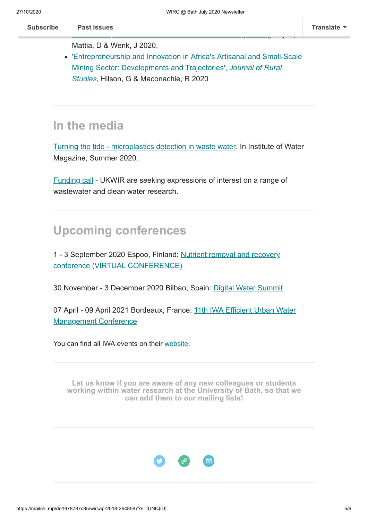Mattia, D & Wenk, J 2020,

['Entrepreneurship and Innovation in Africa's Artisanal and Small-Scale](https://doi.org/10.1016/j.jrurstud.2020.06.004) Mining Sector: Developments and Trajectories', *Journal of Rural Studies*, Hilson, G & Maconachie, R 2020

## <span id="page-4-0"></span>**In the media**

[Turning the tide - microplastics detection in waste water.](https://library.myebook.com/InstituteofWaterMagazine/summer-2020/2564/#page/73) In Institute of Water Magazine, Summer 2020.

[Funding call](https://ukwir.org/eng/ukwir-projects-open-to-expressions-of-interest#_blank) - UKWIR are seeking expressions of interest on a range of wastewater and clean water research.

# <span id="page-4-1"></span>**Upcoming conferences**

[1 - 3 September 2020 Espoo, Finland: Nutrient removal and recovery](https://iwa-network.org/events/nutrient-removal-and-recovery-conference/) conference (VIRTUAL CONFERENCE)

30 November - 3 December 2020 Bilbao, Spain: [Digital Water Summit](https://iwa-network.org/events/digital-water-summit/)

[07 April - 09 April 2021 Bordeaux, France: 11th IWA Efficient Urban Water](https://iwa-network.org/events/11th-iwa-efficient-urban-water-management-conference/) Management Conference

You can find all IWA events on their [website](http://www.iwa-network.org/all-events/).

**Let us know if you are aware of any new colleagues or students [working within water research at the University of Bath, so that we](mailto:wirc-enquiries@bath.ac.uk?subject=New%20WIRC%20contact) can add them to our mailing lists!**